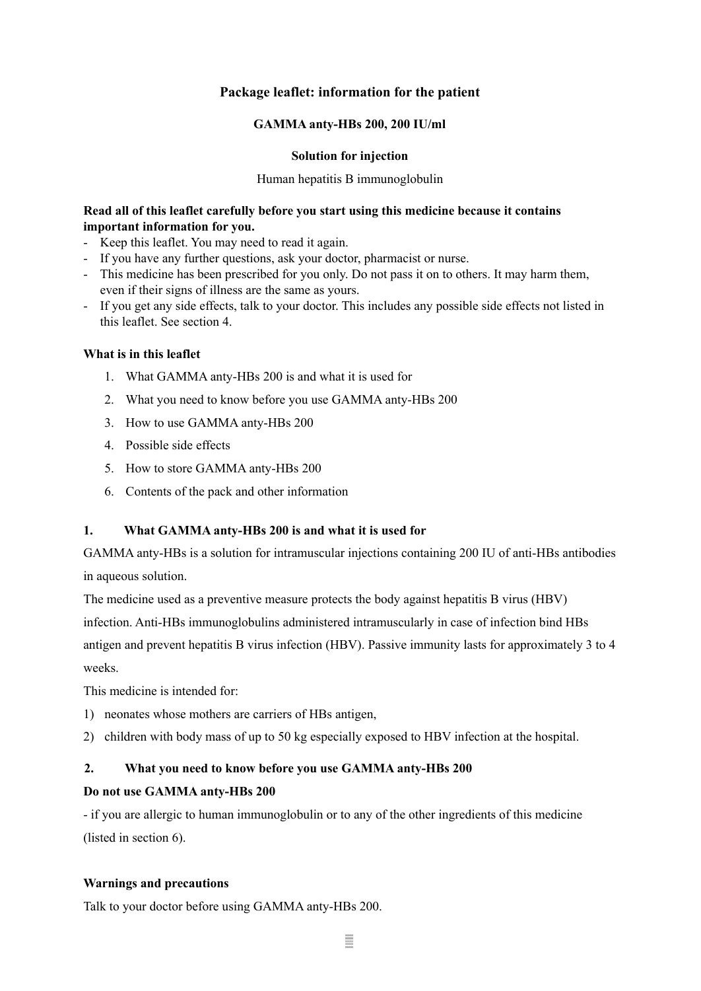# **Package leaflet: information for the patient**

## **GAMMA anty-HBs 200, 200 IU/ml**

## **Solution for injection**

### Human hepatitis B immunoglobulin

## **Read all of this leaflet carefully before you start using this medicine because it contains important information for you.**

- Keep this leaflet. You may need to read it again.
- If you have any further questions, ask your doctor, pharmacist or nurse.
- This medicine has been prescribed for you only. Do not pass it on to others. It may harm them, even if their signs of illness are the same as yours.
- If you get any side effects, talk to your doctor. This includes any possible side effects not listed in this leaflet. See section 4.

## **What is in this leaflet**

- 1. What GAMMA anty-HBs 200 is and what it is used for
- 2. What you need to know before you use GAMMA anty-HBs 200
- 3. How to use GAMMA anty-HBs 200
- 4. Possible side effects
- 5. How to store GAMMA anty-HBs 200
- 6. Contents of the pack and other information

# **1. What GAMMA anty-HBs 200 is and what it is used for**

GAMMA anty-HBs is a solution for intramuscular injections containing 200 IU of anti-HBs antibodies in aqueous solution.

The medicine used as a preventive measure protects the body against hepatitis B virus (HBV) infection. Anti-HBs immunoglobulins administered intramuscularly in case of infection bind HBs antigen and prevent hepatitis B virus infection (HBV). Passive immunity lasts for approximately 3 to 4 weeks.

This medicine is intended for:

- 1) neonates whose mothers are carriers of HBs antigen,
- 2) children with body mass of up to 50 kg especially exposed to HBV infection at the hospital.

# **2. What you need to know before you use GAMMA anty-HBs 200**

## **Do not use GAMMA anty-HBs 200**

- if you are allergic to human immunoglobulin or to any of the other ingredients of this medicine (listed in section 6).

## **Warnings and precautions**

Talk to your doctor before using GAMMA anty-HBs 200.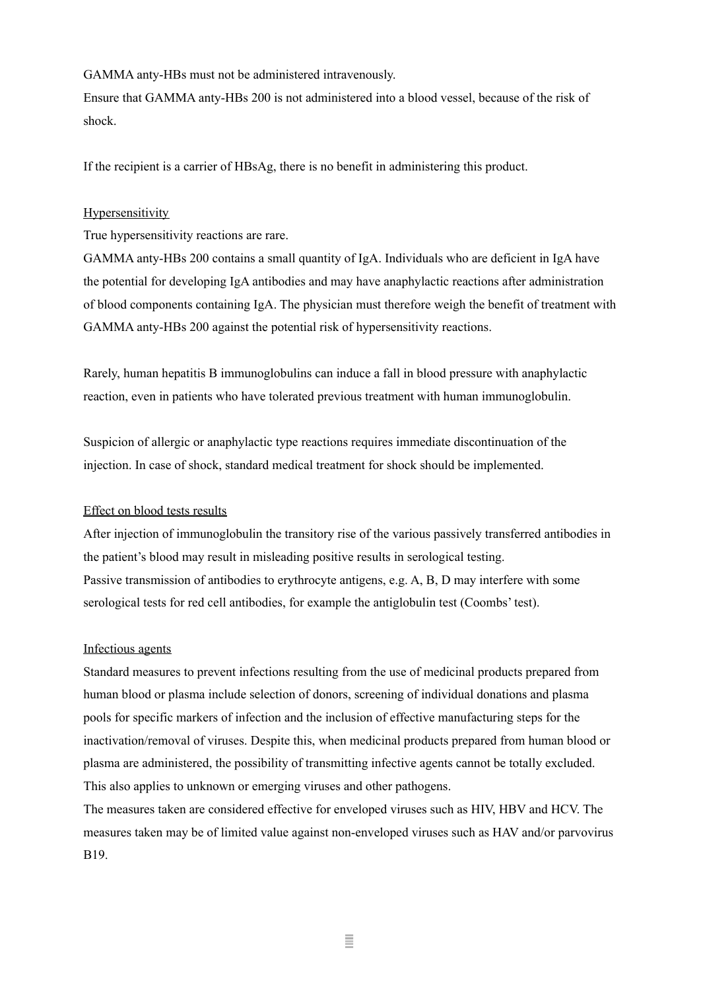GAMMA anty-HBs must not be administered intravenously.

Ensure that GAMMA anty-HBs 200 is not administered into a blood vessel, because of the risk of shock.

If the recipient is a carrier of HBsAg, there is no benefit in administering this product.

## **Hypersensitivity**

True hypersensitivity reactions are rare.

GAMMA anty-HBs 200 contains a small quantity of IgA. Individuals who are deficient in IgA have the potential for developing IgA antibodies and may have anaphylactic reactions after administration of blood components containing IgA. The physician must therefore weigh the benefit of treatment with GAMMA anty-HBs 200 against the potential risk of hypersensitivity reactions.

Rarely, human hepatitis B immunoglobulins can induce a fall in blood pressure with anaphylactic reaction, even in patients who have tolerated previous treatment with human immunoglobulin.

Suspicion of allergic or anaphylactic type reactions requires immediate discontinuation of the injection. In case of shock, standard medical treatment for shock should be implemented.

## Effect on blood tests results

After injection of immunoglobulin the transitory rise of the various passively transferred antibodies in the patient's blood may result in misleading positive results in serological testing. Passive transmission of antibodies to erythrocyte antigens, e.g. A, B, D may interfere with some serological tests for red cell antibodies, for example the antiglobulin test (Coombs' test).

## Infectious agents

Standard measures to prevent infections resulting from the use of medicinal products prepared from human blood or plasma include selection of donors, screening of individual donations and plasma pools for specific markers of infection and the inclusion of effective manufacturing steps for the inactivation/removal of viruses. Despite this, when medicinal products prepared from human blood or plasma are administered, the possibility of transmitting infective agents cannot be totally excluded. This also applies to unknown or emerging viruses and other pathogens.

The measures taken are considered effective for enveloped viruses such as HIV, HBV and HCV. The measures taken may be of limited value against non-enveloped viruses such as HAV and/or parvovirus B19.

Ξ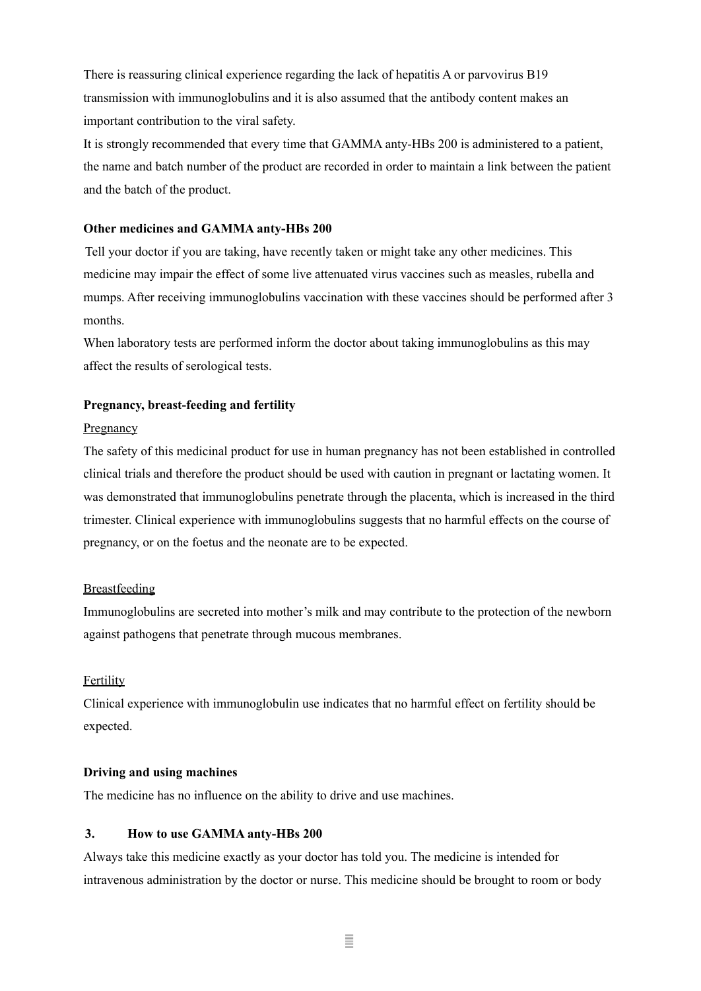There is reassuring clinical experience regarding the lack of hepatitis A or parvovirus B19 transmission with immunoglobulins and it is also assumed that the antibody content makes an important contribution to the viral safety.

It is strongly recommended that every time that GAMMA anty-HBs 200 is administered to a patient, the name and batch number of the product are recorded in order to maintain a link between the patient and the batch of the product.

### **Other medicines and GAMMA anty-HBs 200**

Tell your doctor if you are taking, have recently taken or might take any other medicines. This medicine may impair the effect of some live attenuated virus vaccines such as measles, rubella and mumps. After receiving immunoglobulins vaccination with these vaccines should be performed after 3 months.

When laboratory tests are performed inform the doctor about taking immunoglobulins as this may affect the results of serological tests.

### **Pregnancy, breast-feeding and fertility**

#### **Pregnancy**

The safety of this medicinal product for use in human pregnancy has not been established in controlled clinical trials and therefore the product should be used with caution in pregnant or lactating women. It was demonstrated that immunoglobulins penetrate through the placenta, which is increased in the third trimester. Clinical experience with immunoglobulins suggests that no harmful effects on the course of pregnancy, or on the foetus and the neonate are to be expected.

## Breastfeeding

Immunoglobulins are secreted into mother's milk and may contribute to the protection of the newborn against pathogens that penetrate through mucous membranes.

### Fertility

Clinical experience with immunoglobulin use indicates that no harmful effect on fertility should be expected.

#### **Driving and using machines**

The medicine has no influence on the ability to drive and use machines.

#### **3. How to use GAMMA anty-HBs 200**

Always take this medicine exactly as your doctor has told you. The medicine is intended for intravenous administration by the doctor or nurse. This medicine should be brought to room or body

Ξ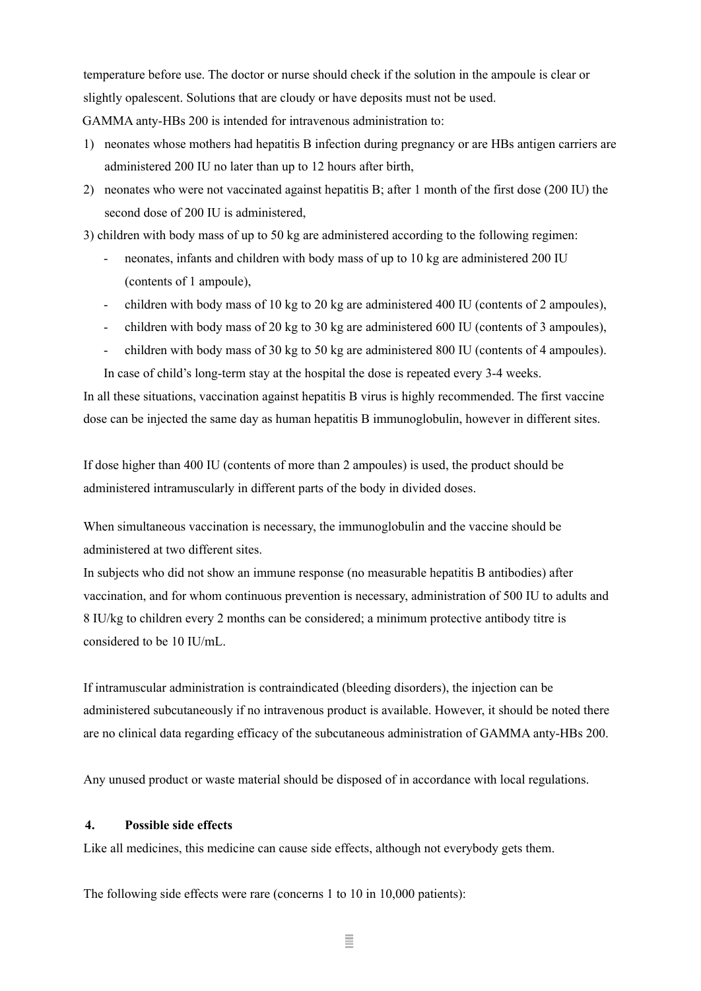temperature before use. The doctor or nurse should check if the solution in the ampoule is clear or slightly opalescent. Solutions that are cloudy or have deposits must not be used.

GAMMA anty-HBs 200 is intended for intravenous administration to:

- 1) neonates whose mothers had hepatitis B infection during pregnancy or are HBs antigen carriers are administered 200 IU no later than up to 12 hours after birth,
- 2) neonates who were not vaccinated against hepatitis B; after 1 month of the first dose (200 IU) the second dose of 200 IU is administered,

3) children with body mass of up to 50 kg are administered according to the following regimen:

- neonates, infants and children with body mass of up to 10 kg are administered 200 IU (contents of 1 ampoule),
- children with body mass of 10 kg to 20 kg are administered 400 IU (contents of 2 ampoules),
- children with body mass of 20 kg to 30 kg are administered 600 IU (contents of 3 ampoules),
- children with body mass of 30 kg to 50 kg are administered 800 IU (contents of 4 ampoules).

In case of child's long-term stay at the hospital the dose is repeated every 3-4 weeks.

In all these situations, vaccination against hepatitis B virus is highly recommended. The first vaccine dose can be injected the same day as human hepatitis B immunoglobulin, however in different sites.

If dose higher than 400 IU (contents of more than 2 ampoules) is used, the product should be administered intramuscularly in different parts of the body in divided doses.

When simultaneous vaccination is necessary, the immunoglobulin and the vaccine should be administered at two different sites.

In subjects who did not show an immune response (no measurable hepatitis B antibodies) after vaccination, and for whom continuous prevention is necessary, administration of 500 IU to adults and 8 IU/kg to children every 2 months can be considered; a minimum protective antibody titre is considered to be 10 IU/mL.

If intramuscular administration is contraindicated (bleeding disorders), the injection can be administered subcutaneously if no intravenous product is available. However, it should be noted there are no clinical data regarding efficacy of the subcutaneous administration of GAMMA anty-HBs 200.

Any unused product or waste material should be disposed of in accordance with local regulations.

# **4. Possible side effects**

Like all medicines, this medicine can cause side effects, although not everybody gets them.

The following side effects were rare (concerns 1 to 10 in 10,000 patients):

Ξ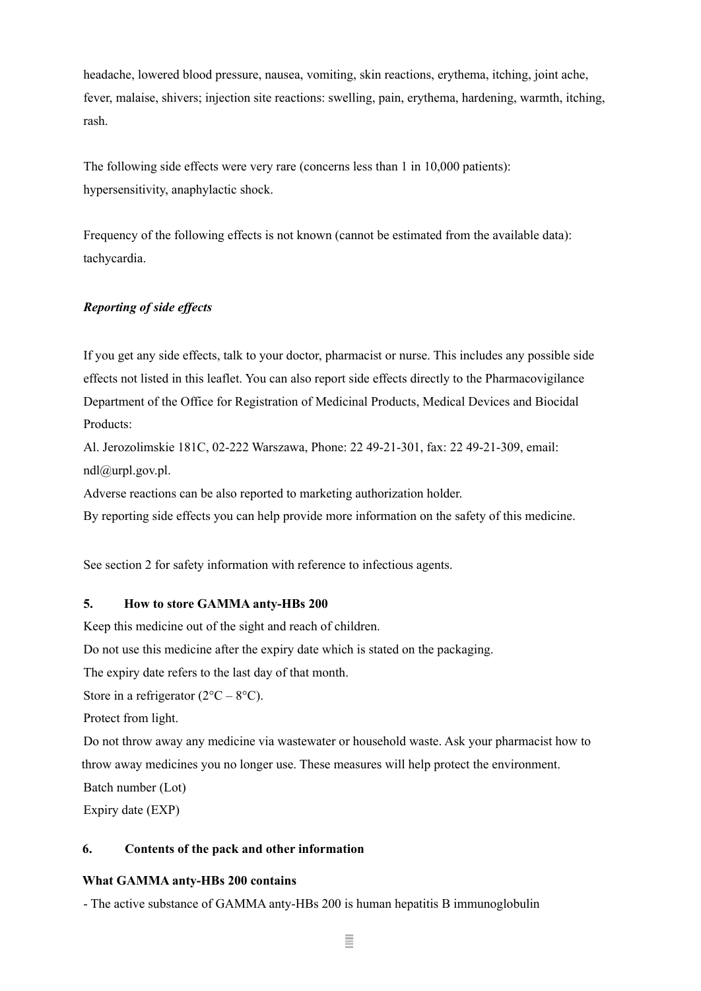headache, lowered blood pressure, nausea, vomiting, skin reactions, erythema, itching, joint ache, fever, malaise, shivers; injection site reactions: swelling, pain, erythema, hardening, warmth, itching, rash.

The following side effects were very rare (concerns less than 1 in 10,000 patients): hypersensitivity, anaphylactic shock.

Frequency of the following effects is not known (cannot be estimated from the available data): tachycardia.

# *Reporting of side ef ects*

If you get any side effects, talk to your doctor, pharmacist or nurse. This includes any possible side effects not listed in this leaflet. You can also report side effects directly to the Pharmacovigilance Department of the Office for Registration of Medicinal Products, Medical Devices and Biocidal Products:

Al. Jerozolimskie 181C, 02-222 Warszawa, Phone: 22 49-21-301, fax: 22 49-21-309, email: [ndl@urpl.gov.pl.](mailto:ndl@urpl.gov.pl)

Adverse reactions can be also reported to marketing authorization holder.

By reporting side effects you can help provide more information on the safety of this medicine.

See section 2 for safety information with reference to infectious agents.

## **5. How to store GAMMA anty-HBs 200**

Keep this medicine out of the sight and reach of children.

Do not use this medicine after the expiry date which is stated on the packaging.

The expiry date refers to the last day of that month.

Store in a refrigerator  $(2^{\circ}C - 8^{\circ}C)$ .

Protect from light.

Do not throw away any medicine via wastewater or household waste. Ask your pharmacist how to throw away medicines you no longer use. These measures will help protect the environment.

Batch number (Lot)

Expiry date (EXP)

# **6. Contents of the pack and other information**

# **What GAMMA anty-HBs 200 contains**

- The active substance of GAMMA anty-HBs 200 is human hepatitis B immunoglobulin